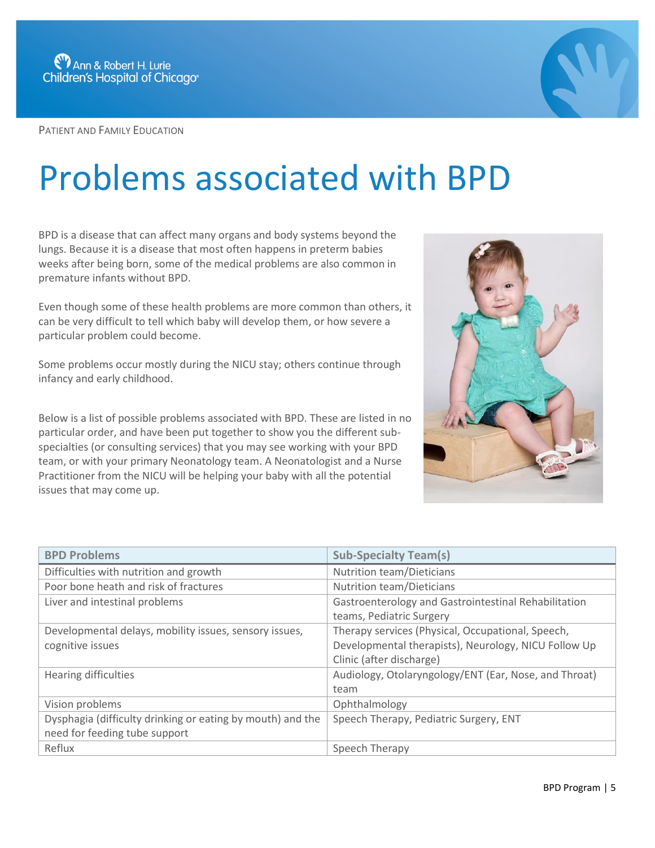

PATIENT AND FAMILY EDUCATION



## Problems associated with BPD

BPD is a disease that can affect many organs and body systems beyond the lungs. Because it is a disease that most often happens in preterm babies weeks after being born, some of the medical problems are also common in premature infants without BPD.

Even though some of these health problems are more common than others, it can be very difficult to tell which baby will develop them, or how severe a particular problem could become.

Some problems occur mostly during the NICU stay; others continue through infancy and early childhood.

Below is a list of possible problems associated with BPD. These are listed in no particular order, and have been put together to show you the different subspecialties (or consulting services) that you may see working with your BPD team, or with your primary Neonatology team. A Neonatologist and a Nurse Practitioner from the NICU will be helping your baby with all the potential issues that may come up.



| <b>BPD Problems</b>                                        | <b>Sub-Specialty Team(s)</b>                          |
|------------------------------------------------------------|-------------------------------------------------------|
| Difficulties with nutrition and growth                     | <b>Nutrition team/Dieticians</b>                      |
| Poor bone heath and risk of fractures                      | <b>Nutrition team/Dieticians</b>                      |
| Liver and intestinal problems                              | Gastroenterology and Gastrointestinal Rehabilitation  |
|                                                            | teams, Pediatric Surgery                              |
| Developmental delays, mobility issues, sensory issues,     | Therapy services (Physical, Occupational, Speech,     |
| cognitive issues                                           | Developmental therapists), Neurology, NICU Follow Up  |
|                                                            | Clinic (after discharge)                              |
| Hearing difficulties                                       | Audiology, Otolaryngology/ENT (Ear, Nose, and Throat) |
|                                                            | team                                                  |
| Vision problems                                            | Ophthalmology                                         |
| Dysphagia (difficulty drinking or eating by mouth) and the | Speech Therapy, Pediatric Surgery, ENT                |
| need for feeding tube support                              |                                                       |
| Reflux                                                     | Speech Therapy                                        |